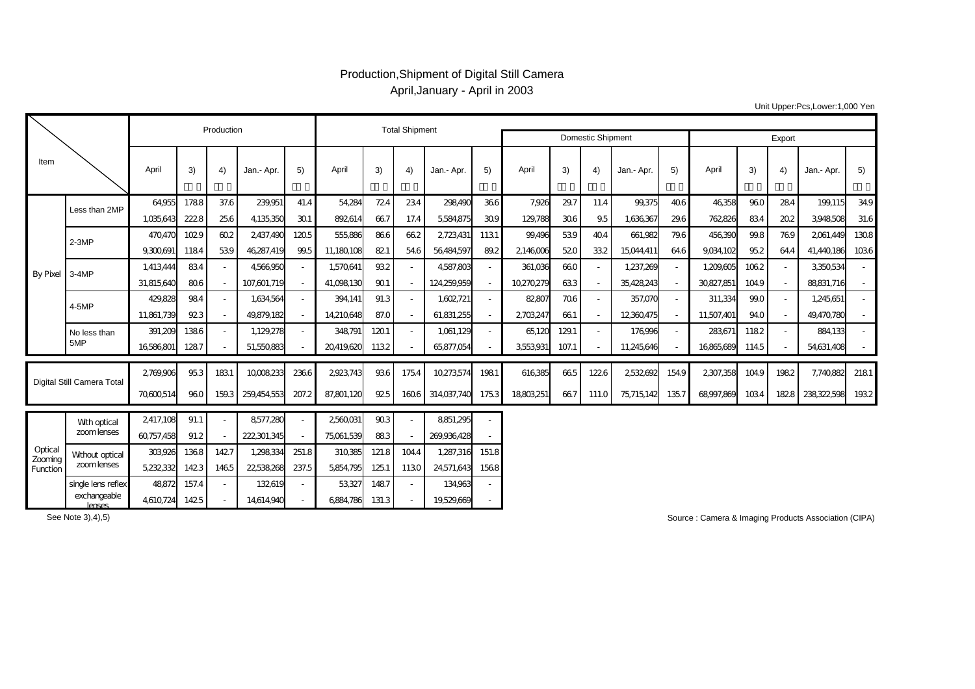## Production,Shipment of Digital Still Camera April,January - April in 2003

| Unit Upper:Pcs,Lower:1,000 Yen |  |
|--------------------------------|--|
|--------------------------------|--|

|                                |                               | Production |       |       |             |                          | <b>Total Shipment</b> |       |       |             |                   |          |       |        |            |        |            |      |      |            |      |
|--------------------------------|-------------------------------|------------|-------|-------|-------------|--------------------------|-----------------------|-------|-------|-------------|-------------------|----------|-------|--------|------------|--------|------------|------|------|------------|------|
|                                |                               |            |       |       |             |                          |                       |       |       |             | Domestic Shipment |          |       |        |            | Export |            |      |      |            |      |
| Item                           |                               | April      | 3)    | 4)    | Jan.- Apr.  | 5)                       | April                 | 3)    | 4)    | Jan - Apr.  | 5)                | April    | 3)    | 4)     | Jan.- Apr. | 5)     | April      | 3)   | 4)   | Jan.- Apr. | 5)   |
| By Pixel 3-4MP                 | Less than 2MP                 | 64955      | 1788  | 37.6  | 239,951     | 41.4                     | 54,284                | 724   | 234   | 298490      | 366               | 7,926    | 29.7  | 11.4   | 99,375     | 406    | 46358      | 960  | 284  | 199,115    | 349  |
|                                |                               | 1.035643   | 222.8 | 256   | 4135350     | 301                      | 892614                | 667   | 17.4  | 5584875     | 30.9              | 129,788  | 306   | 95     | 1.636.367  | 29.6   | 762,826    | 834  | 202  | 3948508    | 31.6 |
|                                | $2-3MP$                       | 470470     | 1029  | 602   | 2,437,490   | 1205                     | 555,886               | 866   | 662   | 2,723,431   | 1131              | 99,496   | 539   | 404    | 661,982    | 79.6   | 456390     | 99.8 | 769  | 2061,449   | 1308 |
|                                |                               | 9300691    | 1184  | 539   | 46287.419   | 99.5                     | 11,180,108            | 82.1  | 546   | 56484597    | 89.2              | 2146006  | 520   | 332    | 15,044,411 | 646    | 9034102    | 952  | 644  | 41.440.186 | 1036 |
|                                |                               | 1,413444   | 834   |       | 4566950     | $\overline{\phantom{a}}$ | 1,570,641             | 932   |       | 4,587,803   |                   | 361,036  | 660   | $\sim$ | 1,237,269  |        | 1,209,605  | 1062 |      | 3350534    |      |
|                                |                               | 31.815.640 | 806   |       | 107.601.719 | $\sim$                   | 41.098.130            | 90.1  |       | 124259.959  |                   | 10270279 | 633   | $\sim$ | 35428243   |        | 30827.851  | 1049 |      | 88831.716  |      |
|                                | 4-5MP                         | 429.828    | 984   |       | 1,634,564   | $\sim$                   | 394,141               | 91.3  |       | 1.602.721   |                   | 82,807   | 706   | $\sim$ | 357.070    |        | 311,334    | 990  |      | 1,245,651  |      |
|                                |                               | 11,861,739 | 923   |       | 49.879.182  | $\sim$                   | 14.210648             | 87.0  |       | 61.831.255  |                   | 2703247  | 661   | $\sim$ | 12360475   |        | 11,507,401 | 940  |      | 49.470.780 |      |
|                                | No less than                  | 391,209    | 1386  |       | 1,129,278   | $\sim$                   | 348,791               | 1201  |       | 1,061,129   |                   | 65,120   | 129.1 | $\sim$ | 176996     |        | 283671     | 1182 |      | 884.133    |      |
|                                | 5MP                           | 16586801   | 1287  |       | 51.550.883  |                          | 20419620              | 1132  |       | 65,877,054  |                   | 3553931  | 107.1 | $\sim$ | 11.245.646 |        | 16865689   | 1145 |      | 54,631,408 |      |
|                                |                               |            |       |       |             |                          |                       |       |       |             |                   |          |       |        |            |        |            |      |      |            |      |
| Digital Still Camera Total     |                               | 2769906    | 953   | 1831  | 10008233    | 2366                     | 2923743               | 936   | 175.4 | 10273574    | 1981              | 616385   | 665   | 1226   | 2532692    | 1549   | 2307,358   | 1049 | 1982 | 7,740,882  | 2181 |
|                                |                               | 70600514   | 960   | 1593  | 259,454,553 | 207.2                    | 87,801,120            | 92.5  | 1606  | 314,037,740 | 1753              | 18803251 | 667   | 111.0  | 75,715,142 | 135.7  | 68997,869  | 1034 | 1828 | 238322,598 | 1932 |
|                                |                               | 2,417,108  | 91.1  |       | 8577,280    | $\sim$                   | 2,560,031             | 903   |       | 8851,295    |                   |          |       |        |            |        |            |      |      |            |      |
| Optical<br>Zooming<br>Function | With optical<br>zoomlenses    | 60757,458  | 91.2  |       | 222,301,345 | $\sim$                   | 75,061,539            | 883   |       | 269936428   |                   |          |       |        |            |        |            |      |      |            |      |
|                                |                               | 303926     | 1368  | 142.7 | 1,298,334   | 251.8                    | 310385                | 121.8 | 1044  | 1,287,316   | 151.8             |          |       |        |            |        |            |      |      |            |      |
|                                | Without optical<br>zoomlenses | 5232332    | 1423  | 1465  | 22,538,268  | 237.5                    | 5.854.795             | 125.1 | 1130  | 24,571,643  | 1568              |          |       |        |            |        |            |      |      |            |      |
|                                | single lens reflex            | 48872      | 157.4 |       | 132619      |                          | 53327                 | 1487  |       | 134.963     |                   |          |       |        |            |        |            |      |      |            |      |
|                                |                               |            |       |       |             |                          |                       |       |       |             |                   |          |       |        |            |        |            |      |      |            |      |

See Note 3),4),5)

exchangeable<br>lenses

lenses 4,610,724 142.5 - 14,614,940 - 6,884,786 131.3 - 19,529,669 -

Source : Camera & Imaging Products Association (CIPA)